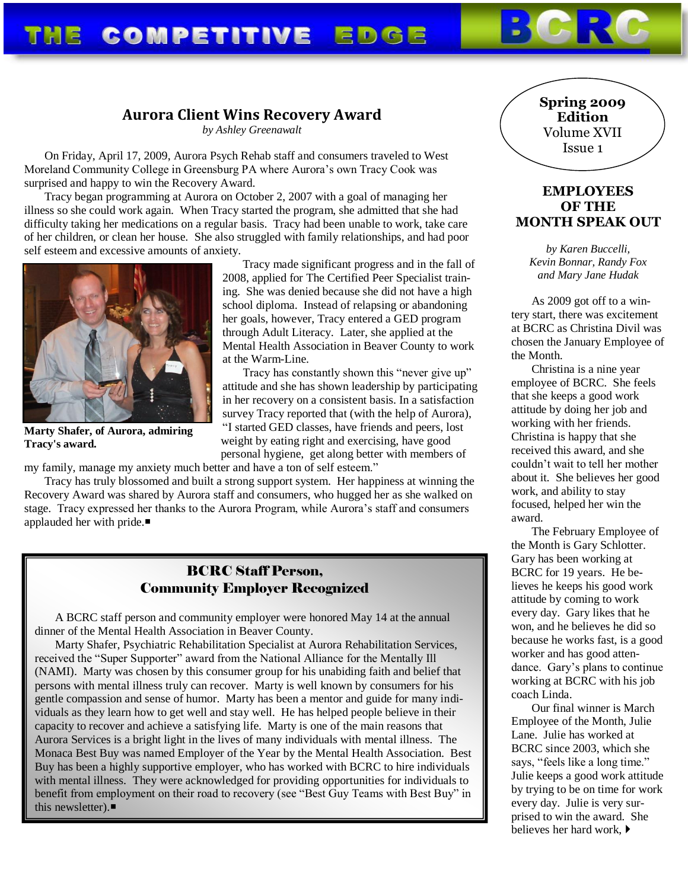# THE COMPETITIVE EDGE

## **Aurora Client Wins Recovery Award**

*by Ashley Greenawalt*

On Friday, April 17, 2009, Aurora Psych Rehab staff and consumers traveled to West Moreland Community College in Greensburg PA where Aurora's own Tracy Cook was surprised and happy to win the Recovery Award.

Tracy began programming at Aurora on October 2, 2007 with a goal of managing her illness so she could work again. When Tracy started the program, she admitted that she had difficulty taking her medications on a regular basis. Tracy had been unable to work, take care of her children, or clean her house. She also struggled with family relationships, and had poor self esteem and excessive amounts of anxiety.



**Marty Shafer, of Aurora, admiring Tracy's award.**

Tracy made significant progress and in the fall of 2008, applied for The Certified Peer Specialist training. She was denied because she did not have a high school diploma. Instead of relapsing or abandoning her goals, however, Tracy entered a GED program through Adult Literacy. Later, she applied at the Mental Health Association in Beaver County to work at the Warm-Line.

Tracy has constantly shown this "never give up" attitude and she has shown leadership by participating in her recovery on a consistent basis. In a satisfaction survey Tracy reported that (with the help of Aurora),

"I started GED classes, have friends and peers, lost weight by eating right and exercising, have good personal hygiene, get along better with members of

my family, manage my anxiety much better and have a ton of self esteem."

Tracy has truly blossomed and built a strong support system. Her happiness at winning the Recovery Award was shared by Aurora staff and consumers, who hugged her as she walked on stage. Tracy expressed her thanks to the Aurora Program, while Aurora's staff and consumers applauded her with pride.■

## BCRC Staff Person, Community Employer Recognized

A BCRC staff person and community employer were honored May 14 at the annual dinner of the Mental Health Association in Beaver County.

Marty Shafer, Psychiatric Rehabilitation Specialist at Aurora Rehabilitation Services, received the "Super Supporter" award from the National Alliance for the Mentally Ill (NAMI). Marty was chosen by this consumer group for his unabiding faith and belief that persons with mental illness truly can recover. Marty is well known by consumers for his gentle compassion and sense of humor. Marty has been a mentor and guide for many individuals as they learn how to get well and stay well. He has helped people believe in their capacity to recover and achieve a satisfying life. Marty is one of the main reasons that Aurora Services is a bright light in the lives of many individuals with mental illness. The Monaca Best Buy was named Employer of the Year by the Mental Health Association. Best Buy has been a highly supportive employer, who has worked with BCRC to hire individuals with mental illness. They were acknowledged for providing opportunities for individuals to benefit from employment on their road to recovery (see "Best Guy Teams with Best Buy" in this newsletter).■

## **Spring 2009 Edition** Volume XVII Issue 1

### **EMPLOYEES OF THE MONTH SPEAK OUT**

*by Karen Buccelli, Kevin Bonnar, Randy Fox and Mary Jane Hudak*

As 2009 got off to a wintery start, there was excitement at BCRC as Christina Divil was chosen the January Employee of the Month.

Christina is a nine year employee of BCRC. She feels that she keeps a good work attitude by doing her job and working with her friends. Christina is happy that she received this award, and she couldn't wait to tell her mother about it. She believes her good work, and ability to stay focused, helped her win the award.

The February Employee of the Month is Gary Schlotter. Gary has been working at BCRC for 19 years. He believes he keeps his good work attitude by coming to work every day. Gary likes that he won, and he believes he did so because he works fast, is a good worker and has good attendance. Gary's plans to continue working at BCRC with his job coach Linda.

Our final winner is March Employee of the Month, Julie Lane. Julie has worked at BCRC since 2003, which she says, "feels like a long time." Julie keeps a good work attitude by trying to be on time for work every day. Julie is very surprised to win the award. She believes her hard work,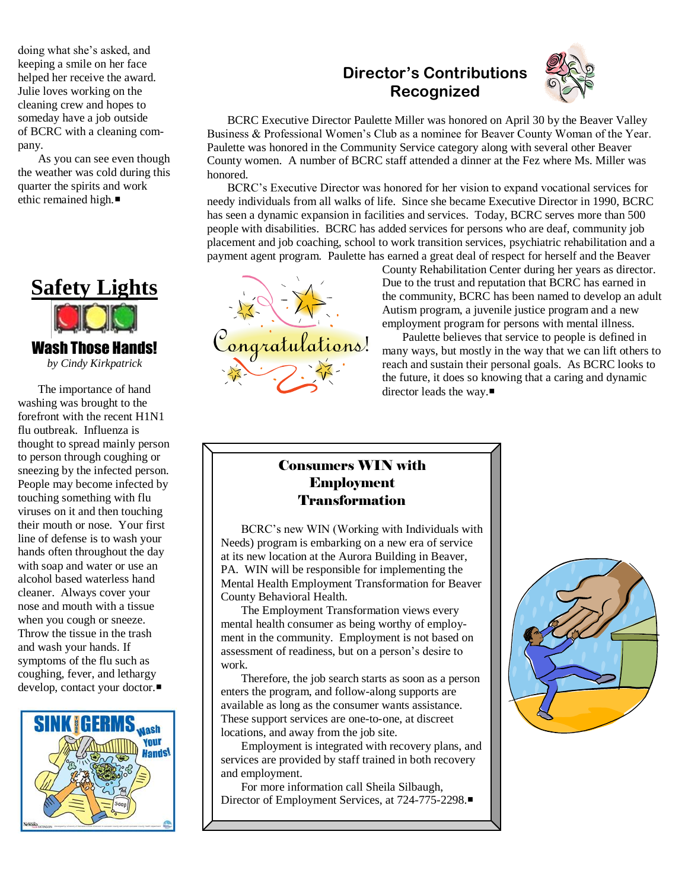doing what she's asked, and keeping a smile on her face helped her receive the award. Julie loves working on the cleaning crew and hopes to someday have a job outside of BCRC with a cleaning company.

As you can see even though the weather was cold during this quarter the spirits and work ethic remained high.



*by Cindy Kirkpatrick*

The importance of hand washing was brought to the forefront with the recent H1N1 flu outbreak. Influenza is thought to spread mainly person to person through coughing or sneezing by the infected person. People may become infected by touching something with flu viruses on it and then touching their mouth or nose. Your first line of defense is to wash your hands often throughout the day with soap and water or use an alcohol based waterless hand cleaner. Always cover your nose and mouth with a tissue when you cough or sneeze. Throw the tissue in the trash and wash your hands. If symptoms of the flu such as coughing, fever, and lethargy develop, contact your doctor.■



# **Director's Contributions Recognized**



BCRC Executive Director Paulette Miller was honored on April 30 by the Beaver Valley Business & Professional Women's Club as a nominee for Beaver County Woman of the Year. Paulette was honored in the Community Service category along with several other Beaver County women. A number of BCRC staff attended a dinner at the Fez where Ms. Miller was honored.

BCRC's Executive Director was honored for her vision to expand vocational services for needy individuals from all walks of life. Since she became Executive Director in 1990, BCRC has seen a dynamic expansion in facilities and services. Today, BCRC serves more than 500 people with disabilities. BCRC has added services for persons who are deaf, community job placement and job coaching, school to work transition services, psychiatric rehabilitation and a payment agent program. Paulette has earned a great deal of respect for herself and the Beaver



County Rehabilitation Center during her years as director. Due to the trust and reputation that BCRC has earned in the community, BCRC has been named to develop an adult Autism program, a juvenile justice program and a new employment program for persons with mental illness.

Paulette believes that service to people is defined in many ways, but mostly in the way that we can lift others to reach and sustain their personal goals. As BCRC looks to the future, it does so knowing that a caring and dynamic director leads the way.■

## Consumers WIN with Employment Transformation

BCRC's new WIN (Working with Individuals with Needs) program is embarking on a new era of service at its new location at the Aurora Building in Beaver, PA. WIN will be responsible for implementing the Mental Health Employment Transformation for Beaver County Behavioral Health.

The Employment Transformation views every mental health consumer as being worthy of employment in the community. Employment is not based on assessment of readiness, but on a person's desire to work.

Therefore, the job search starts as soon as a person enters the program, and follow-along supports are available as long as the consumer wants assistance. These support services are one-to-one, at discreet locations, and away from the job site.

Employment is integrated with recovery plans, and services are provided by staff trained in both recovery and employment.

For more information call Sheila Silbaugh, Director of Employment Services, at 724-775-2298.

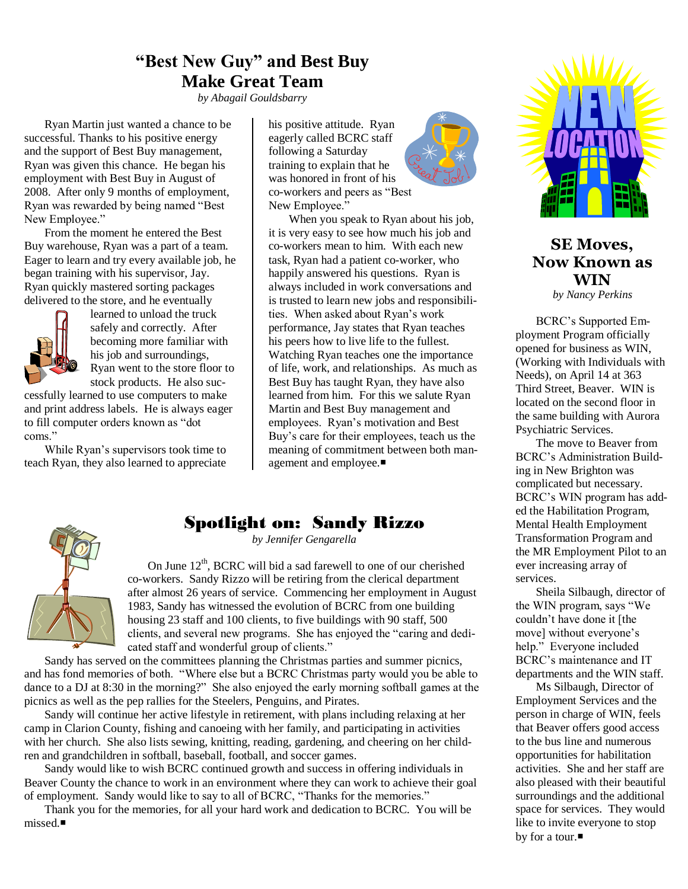## **"Best New Guy" and Best Buy Make Great Team**

*by Abagail Gouldsbarry*

Ryan Martin just wanted a chance to be successful. Thanks to his positive energy and the support of Best Buy management, Ryan was given this chance. He began his employment with Best Buy in August of 2008. After only 9 months of employment, Ryan was rewarded by being named "Best New Employee."

From the moment he entered the Best Buy warehouse, Ryan was a part of a team. Eager to learn and try every available job, he began training with his supervisor, Jay. Ryan quickly mastered sorting packages delivered to the store, and he eventually



learned to unload the truck safely and correctly. After becoming more familiar with his job and surroundings, Ryan went to the store floor to stock products. He also suc-

cessfully learned to use computers to make and print address labels. He is always eager to fill computer orders known as "dot coms."

While Ryan's supervisors took time to teach Ryan, they also learned to appreciate

his positive attitude. Ryan eagerly called BCRC staff following a Saturday training to explain that he was honored in front of his co-workers and peers as "Best New Employee."



## Spotlight on: Sandy Rizzo

*by Jennifer Gengarella*

On June  $12<sup>th</sup>$ , BCRC will bid a sad farewell to one of our cherished co-workers. Sandy Rizzo will be retiring from the clerical department after almost 26 years of service. Commencing her employment in August 1983, Sandy has witnessed the evolution of BCRC from one building housing 23 staff and 100 clients, to five buildings with 90 staff, 500 clients, and several new programs. She has enjoyed the "caring and dedicated staff and wonderful group of clients."

Sandy has served on the committees planning the Christmas parties and summer picnics, and has fond memories of both. "Where else but a BCRC Christmas party would you be able to dance to a DJ at 8:30 in the morning?" She also enjoyed the early morning softball games at the picnics as well as the pep rallies for the Steelers, Penguins, and Pirates.

Sandy will continue her active lifestyle in retirement, with plans including relaxing at her camp in Clarion County, fishing and canoeing with her family, and participating in activities with her church. She also lists sewing, knitting, reading, gardening, and cheering on her children and grandchildren in softball, baseball, football, and soccer games.

Sandy would like to wish BCRC continued growth and success in offering individuals in Beaver County the chance to work in an environment where they can work to achieve their goal of employment. Sandy would like to say to all of BCRC, "Thanks for the memories."

Thank you for the memories, for all your hard work and dedication to BCRC. You will be missed.



## **SE Moves, Now Known as WIN**

*by Nancy Perkins*

BCRC's Supported Employment Program officially opened for business as WIN, (Working with Individuals with Needs), on April 14 at 363 Third Street, Beaver. WIN is located on the second floor in the same building with Aurora Psychiatric Services.

The move to Beaver from BCRC's Administration Building in New Brighton was complicated but necessary. BCRC's WIN program has added the Habilitation Program, Mental Health Employment Transformation Program and the MR Employment Pilot to an ever increasing array of services.

Sheila Silbaugh, director of the WIN program, says "We couldn't have done it [the move] without everyone's help." Everyone included BCRC's maintenance and IT departments and the WIN staff.

Ms Silbaugh, Director of Employment Services and the person in charge of WIN, feels that Beaver offers good access to the bus line and numerous opportunities for habilitation activities. She and her staff are also pleased with their beautiful surroundings and the additional space for services. They would like to invite everyone to stop by for a tour.■